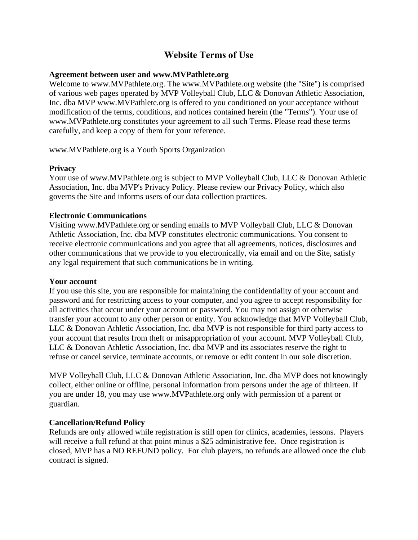# **Website Terms of Use**

### **Agreement between user and www.MVPathlete.org**

Welcome to www.MVPathlete.org. The www.MVPathlete.org website (the "Site") is comprised of various web pages operated by MVP Volleyball Club, LLC & Donovan Athletic Association, Inc. dba MVP www.MVPathlete.org is offered to you conditioned on your acceptance without modification of the terms, conditions, and notices contained herein (the "Terms"). Your use of www.MVPathlete.org constitutes your agreement to all such Terms. Please read these terms carefully, and keep a copy of them for your reference.

www.MVPathlete.org is a Youth Sports Organization

#### **Privacy**

Your use of www.MVPathlete.org is subject to MVP Volleyball Club, LLC & Donovan Athletic Association, Inc. dba MVP's Privacy Policy. Please review our Privacy Policy, which also governs the Site and informs users of our data collection practices.

#### **Electronic Communications**

Visiting www.MVPathlete.org or sending emails to MVP Volleyball Club, LLC & Donovan Athletic Association, Inc. dba MVP constitutes electronic communications. You consent to receive electronic communications and you agree that all agreements, notices, disclosures and other communications that we provide to you electronically, via email and on the Site, satisfy any legal requirement that such communications be in writing.

#### **Your account**

If you use this site, you are responsible for maintaining the confidentiality of your account and password and for restricting access to your computer, and you agree to accept responsibility for all activities that occur under your account or password. You may not assign or otherwise transfer your account to any other person or entity. You acknowledge that MVP Volleyball Club, LLC & Donovan Athletic Association, Inc. dba MVP is not responsible for third party access to your account that results from theft or misappropriation of your account. MVP Volleyball Club, LLC & Donovan Athletic Association, Inc. dba MVP and its associates reserve the right to refuse or cancel service, terminate accounts, or remove or edit content in our sole discretion.

MVP Volleyball Club, LLC & Donovan Athletic Association, Inc. dba MVP does not knowingly collect, either online or offline, personal information from persons under the age of thirteen. If you are under 18, you may use www.MVPathlete.org only with permission of a parent or guardian.

#### **Cancellation/Refund Policy**

Refunds are only allowed while registration is still open for clinics, academies, lessons. Players will receive a full refund at that point minus a \$25 administrative fee. Once registration is closed, MVP has a NO REFUND policy. For club players, no refunds are allowed once the club contract is signed.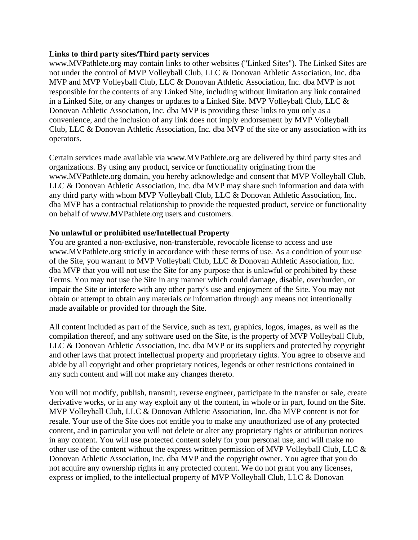#### **Links to third party sites/Third party services**

www.MVPathlete.org may contain links to other websites ("Linked Sites"). The Linked Sites are not under the control of MVP Volleyball Club, LLC & Donovan Athletic Association, Inc. dba MVP and MVP Volleyball Club, LLC & Donovan Athletic Association, Inc. dba MVP is not responsible for the contents of any Linked Site, including without limitation any link contained in a Linked Site, or any changes or updates to a Linked Site. MVP Volleyball Club, LLC & Donovan Athletic Association, Inc. dba MVP is providing these links to you only as a convenience, and the inclusion of any link does not imply endorsement by MVP Volleyball Club, LLC & Donovan Athletic Association, Inc. dba MVP of the site or any association with its operators.

Certain services made available via www.MVPathlete.org are delivered by third party sites and organizations. By using any product, service or functionality originating from the www.MVPathlete.org domain, you hereby acknowledge and consent that MVP Volleyball Club, LLC & Donovan Athletic Association, Inc. dba MVP may share such information and data with any third party with whom MVP Volleyball Club, LLC & Donovan Athletic Association, Inc. dba MVP has a contractual relationship to provide the requested product, service or functionality on behalf of www.MVPathlete.org users and customers.

### **No unlawful or prohibited use/Intellectual Property**

You are granted a non-exclusive, non-transferable, revocable license to access and use www.MVPathlete.org strictly in accordance with these terms of use. As a condition of your use of the Site, you warrant to MVP Volleyball Club, LLC & Donovan Athletic Association, Inc. dba MVP that you will not use the Site for any purpose that is unlawful or prohibited by these Terms. You may not use the Site in any manner which could damage, disable, overburden, or impair the Site or interfere with any other party's use and enjoyment of the Site. You may not obtain or attempt to obtain any materials or information through any means not intentionally made available or provided for through the Site.

All content included as part of the Service, such as text, graphics, logos, images, as well as the compilation thereof, and any software used on the Site, is the property of MVP Volleyball Club, LLC & Donovan Athletic Association, Inc. dba MVP or its suppliers and protected by copyright and other laws that protect intellectual property and proprietary rights. You agree to observe and abide by all copyright and other proprietary notices, legends or other restrictions contained in any such content and will not make any changes thereto.

You will not modify, publish, transmit, reverse engineer, participate in the transfer or sale, create derivative works, or in any way exploit any of the content, in whole or in part, found on the Site. MVP Volleyball Club, LLC & Donovan Athletic Association, Inc. dba MVP content is not for resale. Your use of the Site does not entitle you to make any unauthorized use of any protected content, and in particular you will not delete or alter any proprietary rights or attribution notices in any content. You will use protected content solely for your personal use, and will make no other use of the content without the express written permission of MVP Volleyball Club, LLC & Donovan Athletic Association, Inc. dba MVP and the copyright owner. You agree that you do not acquire any ownership rights in any protected content. We do not grant you any licenses, express or implied, to the intellectual property of MVP Volleyball Club, LLC & Donovan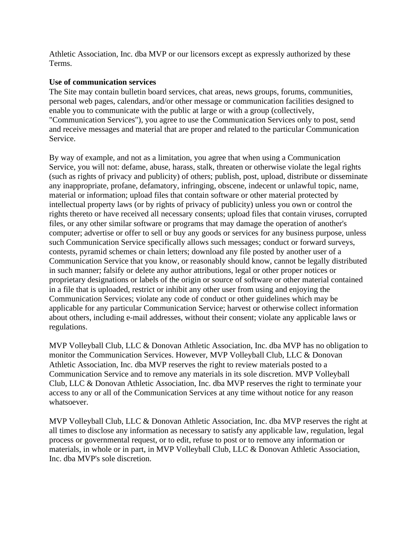Athletic Association, Inc. dba MVP or our licensors except as expressly authorized by these Terms.

### **Use of communication services**

The Site may contain bulletin board services, chat areas, news groups, forums, communities, personal web pages, calendars, and/or other message or communication facilities designed to enable you to communicate with the public at large or with a group (collectively, "Communication Services"), you agree to use the Communication Services only to post, send and receive messages and material that are proper and related to the particular Communication Service.

By way of example, and not as a limitation, you agree that when using a Communication Service, you will not: defame, abuse, harass, stalk, threaten or otherwise violate the legal rights (such as rights of privacy and publicity) of others; publish, post, upload, distribute or disseminate any inappropriate, profane, defamatory, infringing, obscene, indecent or unlawful topic, name, material or information; upload files that contain software or other material protected by intellectual property laws (or by rights of privacy of publicity) unless you own or control the rights thereto or have received all necessary consents; upload files that contain viruses, corrupted files, or any other similar software or programs that may damage the operation of another's computer; advertise or offer to sell or buy any goods or services for any business purpose, unless such Communication Service specifically allows such messages; conduct or forward surveys, contests, pyramid schemes or chain letters; download any file posted by another user of a Communication Service that you know, or reasonably should know, cannot be legally distributed in such manner; falsify or delete any author attributions, legal or other proper notices or proprietary designations or labels of the origin or source of software or other material contained in a file that is uploaded, restrict or inhibit any other user from using and enjoying the Communication Services; violate any code of conduct or other guidelines which may be applicable for any particular Communication Service; harvest or otherwise collect information about others, including e-mail addresses, without their consent; violate any applicable laws or regulations.

MVP Volleyball Club, LLC & Donovan Athletic Association, Inc. dba MVP has no obligation to monitor the Communication Services. However, MVP Volleyball Club, LLC & Donovan Athletic Association, Inc. dba MVP reserves the right to review materials posted to a Communication Service and to remove any materials in its sole discretion. MVP Volleyball Club, LLC & Donovan Athletic Association, Inc. dba MVP reserves the right to terminate your access to any or all of the Communication Services at any time without notice for any reason whatsoever.

MVP Volleyball Club, LLC & Donovan Athletic Association, Inc. dba MVP reserves the right at all times to disclose any information as necessary to satisfy any applicable law, regulation, legal process or governmental request, or to edit, refuse to post or to remove any information or materials, in whole or in part, in MVP Volleyball Club, LLC & Donovan Athletic Association, Inc. dba MVP's sole discretion.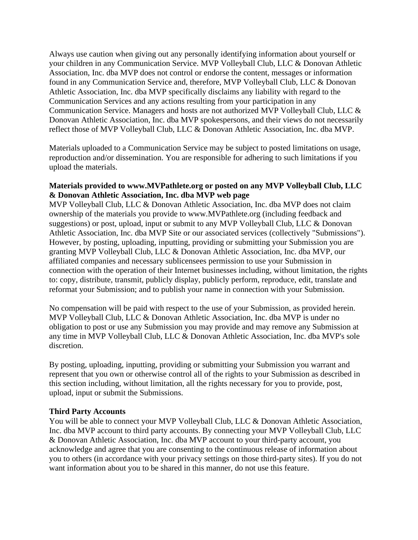Always use caution when giving out any personally identifying information about yourself or your children in any Communication Service. MVP Volleyball Club, LLC & Donovan Athletic Association, Inc. dba MVP does not control or endorse the content, messages or information found in any Communication Service and, therefore, MVP Volleyball Club, LLC & Donovan Athletic Association, Inc. dba MVP specifically disclaims any liability with regard to the Communication Services and any actions resulting from your participation in any Communication Service. Managers and hosts are not authorized MVP Volleyball Club, LLC & Donovan Athletic Association, Inc. dba MVP spokespersons, and their views do not necessarily reflect those of MVP Volleyball Club, LLC & Donovan Athletic Association, Inc. dba MVP.

Materials uploaded to a Communication Service may be subject to posted limitations on usage, reproduction and/or dissemination. You are responsible for adhering to such limitations if you upload the materials.

### **Materials provided to www.MVPathlete.org or posted on any MVP Volleyball Club, LLC & Donovan Athletic Association, Inc. dba MVP web page**

MVP Volleyball Club, LLC & Donovan Athletic Association, Inc. dba MVP does not claim ownership of the materials you provide to www.MVPathlete.org (including feedback and suggestions) or post, upload, input or submit to any MVP Volleyball Club, LLC & Donovan Athletic Association, Inc. dba MVP Site or our associated services (collectively "Submissions"). However, by posting, uploading, inputting, providing or submitting your Submission you are granting MVP Volleyball Club, LLC & Donovan Athletic Association, Inc. dba MVP, our affiliated companies and necessary sublicensees permission to use your Submission in connection with the operation of their Internet businesses including, without limitation, the rights to: copy, distribute, transmit, publicly display, publicly perform, reproduce, edit, translate and reformat your Submission; and to publish your name in connection with your Submission.

No compensation will be paid with respect to the use of your Submission, as provided herein. MVP Volleyball Club, LLC & Donovan Athletic Association, Inc. dba MVP is under no obligation to post or use any Submission you may provide and may remove any Submission at any time in MVP Volleyball Club, LLC & Donovan Athletic Association, Inc. dba MVP's sole discretion.

By posting, uploading, inputting, providing or submitting your Submission you warrant and represent that you own or otherwise control all of the rights to your Submission as described in this section including, without limitation, all the rights necessary for you to provide, post, upload, input or submit the Submissions.

### **Third Party Accounts**

You will be able to connect your MVP Volleyball Club, LLC & Donovan Athletic Association, Inc. dba MVP account to third party accounts. By connecting your MVP Volleyball Club, LLC & Donovan Athletic Association, Inc. dba MVP account to your third-party account, you acknowledge and agree that you are consenting to the continuous release of information about you to others (in accordance with your privacy settings on those third-party sites). If you do not want information about you to be shared in this manner, do not use this feature.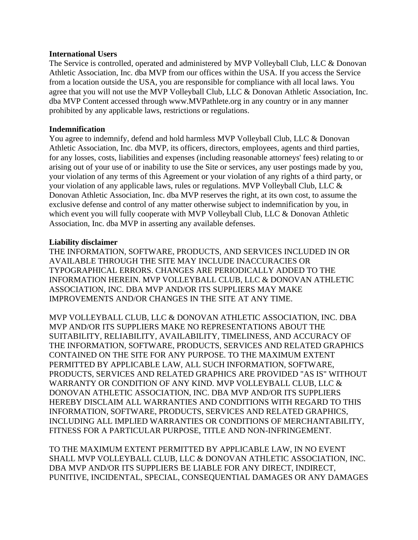#### **International Users**

The Service is controlled, operated and administered by MVP Volleyball Club, LLC & Donovan Athletic Association, Inc. dba MVP from our offices within the USA. If you access the Service from a location outside the USA, you are responsible for compliance with all local laws. You agree that you will not use the MVP Volleyball Club, LLC & Donovan Athletic Association, Inc. dba MVP Content accessed through www.MVPathlete.org in any country or in any manner prohibited by any applicable laws, restrictions or regulations.

### **Indemnification**

You agree to indemnify, defend and hold harmless MVP Volleyball Club, LLC & Donovan Athletic Association, Inc. dba MVP, its officers, directors, employees, agents and third parties, for any losses, costs, liabilities and expenses (including reasonable attorneys' fees) relating to or arising out of your use of or inability to use the Site or services, any user postings made by you, your violation of any terms of this Agreement or your violation of any rights of a third party, or your violation of any applicable laws, rules or regulations. MVP Volleyball Club, LLC & Donovan Athletic Association, Inc. dba MVP reserves the right, at its own cost, to assume the exclusive defense and control of any matter otherwise subject to indemnification by you, in which event you will fully cooperate with MVP Volleyball Club, LLC & Donovan Athletic Association, Inc. dba MVP in asserting any available defenses.

### **Liability disclaimer**

THE INFORMATION, SOFTWARE, PRODUCTS, AND SERVICES INCLUDED IN OR AVAILABLE THROUGH THE SITE MAY INCLUDE INACCURACIES OR TYPOGRAPHICAL ERRORS. CHANGES ARE PERIODICALLY ADDED TO THE INFORMATION HEREIN. MVP VOLLEYBALL CLUB, LLC & DONOVAN ATHLETIC ASSOCIATION, INC. DBA MVP AND/OR ITS SUPPLIERS MAY MAKE IMPROVEMENTS AND/OR CHANGES IN THE SITE AT ANY TIME.

MVP VOLLEYBALL CLUB, LLC & DONOVAN ATHLETIC ASSOCIATION, INC. DBA MVP AND/OR ITS SUPPLIERS MAKE NO REPRESENTATIONS ABOUT THE SUITABILITY, RELIABILITY, AVAILABILITY, TIMELINESS, AND ACCURACY OF THE INFORMATION, SOFTWARE, PRODUCTS, SERVICES AND RELATED GRAPHICS CONTAINED ON THE SITE FOR ANY PURPOSE. TO THE MAXIMUM EXTENT PERMITTED BY APPLICABLE LAW, ALL SUCH INFORMATION, SOFTWARE, PRODUCTS, SERVICES AND RELATED GRAPHICS ARE PROVIDED "AS IS" WITHOUT WARRANTY OR CONDITION OF ANY KIND. MVP VOLLEYBALL CLUB, LLC & DONOVAN ATHLETIC ASSOCIATION, INC. DBA MVP AND/OR ITS SUPPLIERS HEREBY DISCLAIM ALL WARRANTIES AND CONDITIONS WITH REGARD TO THIS INFORMATION, SOFTWARE, PRODUCTS, SERVICES AND RELATED GRAPHICS, INCLUDING ALL IMPLIED WARRANTIES OR CONDITIONS OF MERCHANTABILITY, FITNESS FOR A PARTICULAR PURPOSE, TITLE AND NON-INFRINGEMENT.

TO THE MAXIMUM EXTENT PERMITTED BY APPLICABLE LAW, IN NO EVENT SHALL MVP VOLLEYBALL CLUB, LLC & DONOVAN ATHLETIC ASSOCIATION, INC. DBA MVP AND/OR ITS SUPPLIERS BE LIABLE FOR ANY DIRECT, INDIRECT, PUNITIVE, INCIDENTAL, SPECIAL, CONSEQUENTIAL DAMAGES OR ANY DAMAGES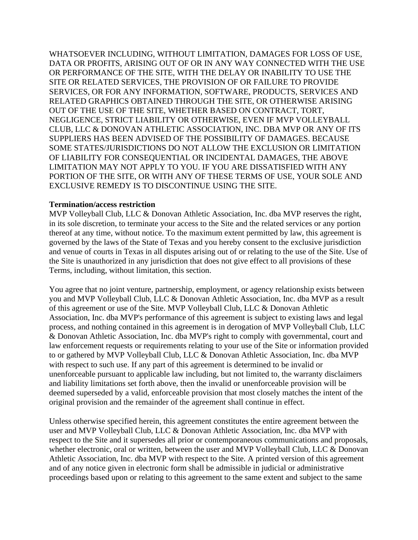WHATSOEVER INCLUDING, WITHOUT LIMITATION, DAMAGES FOR LOSS OF USE, DATA OR PROFITS, ARISING OUT OF OR IN ANY WAY CONNECTED WITH THE USE OR PERFORMANCE OF THE SITE, WITH THE DELAY OR INABILITY TO USE THE SITE OR RELATED SERVICES, THE PROVISION OF OR FAILURE TO PROVIDE SERVICES, OR FOR ANY INFORMATION, SOFTWARE, PRODUCTS, SERVICES AND RELATED GRAPHICS OBTAINED THROUGH THE SITE, OR OTHERWISE ARISING OUT OF THE USE OF THE SITE, WHETHER BASED ON CONTRACT, TORT, NEGLIGENCE, STRICT LIABILITY OR OTHERWISE, EVEN IF MVP VOLLEYBALL CLUB, LLC & DONOVAN ATHLETIC ASSOCIATION, INC. DBA MVP OR ANY OF ITS SUPPLIERS HAS BEEN ADVISED OF THE POSSIBILITY OF DAMAGES. BECAUSE SOME STATES/JURISDICTIONS DO NOT ALLOW THE EXCLUSION OR LIMITATION OF LIABILITY FOR CONSEQUENTIAL OR INCIDENTAL DAMAGES, THE ABOVE LIMITATION MAY NOT APPLY TO YOU. IF YOU ARE DISSATISFIED WITH ANY PORTION OF THE SITE, OR WITH ANY OF THESE TERMS OF USE, YOUR SOLE AND EXCLUSIVE REMEDY IS TO DISCONTINUE USING THE SITE.

#### **Termination/access restriction**

MVP Volleyball Club, LLC & Donovan Athletic Association, Inc. dba MVP reserves the right, in its sole discretion, to terminate your access to the Site and the related services or any portion thereof at any time, without notice. To the maximum extent permitted by law, this agreement is governed by the laws of the State of Texas and you hereby consent to the exclusive jurisdiction and venue of courts in Texas in all disputes arising out of or relating to the use of the Site. Use of the Site is unauthorized in any jurisdiction that does not give effect to all provisions of these Terms, including, without limitation, this section.

You agree that no joint venture, partnership, employment, or agency relationship exists between you and MVP Volleyball Club, LLC & Donovan Athletic Association, Inc. dba MVP as a result of this agreement or use of the Site. MVP Volleyball Club, LLC & Donovan Athletic Association, Inc. dba MVP's performance of this agreement is subject to existing laws and legal process, and nothing contained in this agreement is in derogation of MVP Volleyball Club, LLC & Donovan Athletic Association, Inc. dba MVP's right to comply with governmental, court and law enforcement requests or requirements relating to your use of the Site or information provided to or gathered by MVP Volleyball Club, LLC & Donovan Athletic Association, Inc. dba MVP with respect to such use. If any part of this agreement is determined to be invalid or unenforceable pursuant to applicable law including, but not limited to, the warranty disclaimers and liability limitations set forth above, then the invalid or unenforceable provision will be deemed superseded by a valid, enforceable provision that most closely matches the intent of the original provision and the remainder of the agreement shall continue in effect.

Unless otherwise specified herein, this agreement constitutes the entire agreement between the user and MVP Volleyball Club, LLC & Donovan Athletic Association, Inc. dba MVP with respect to the Site and it supersedes all prior or contemporaneous communications and proposals, whether electronic, oral or written, between the user and MVP Volleyball Club, LLC & Donovan Athletic Association, Inc. dba MVP with respect to the Site. A printed version of this agreement and of any notice given in electronic form shall be admissible in judicial or administrative proceedings based upon or relating to this agreement to the same extent and subject to the same